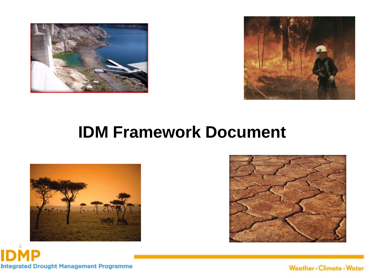



#### **IDM Framework Document**







Weather - Climate - Water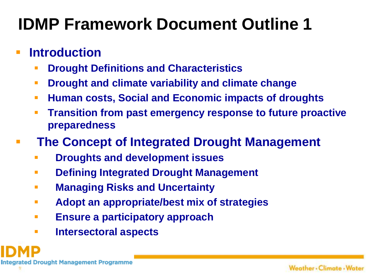## **IDMP Framework Document Outline 1**

#### **Introduction**

- **Drought Definitions and Characteristics**
- **Drought and climate variability and climate change**
- **Human costs, Social and Economic impacts of droughts**
- **Transition from past emergency response to future proactive preparedness**
- **The Concept of Integrated Drought Management**
	- **Droughts and development issues**
	- **Defining Integrated Drought Management**
	- **Managing Risks and Uncertainty**
	- **Adopt an appropriate/best mix of strategies**
	- **Ensure a participatory approach**
	- **Intersectoral aspects**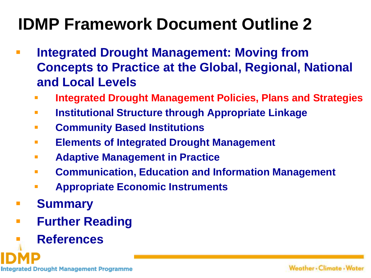## **IDMP Framework Document Outline 2**

- **Integrated Drought Management: Moving from Concepts to Practice at the Global, Regional, National and Local Levels**
	- **Integrated Drought Management Policies, Plans and Strategies**
	- **Institutional Structure through Appropriate Linkage**
	- **Community Based Institutions**
	- **Elements of Integrated Drought Management**
	- **Adaptive Management in Practice**
	- **Communication, Education and Information Management**
	- **Appropriate Economic Instruments**
- **Summary**
- **Further Reading** 
	- **References**

**Integrated Drought Management Programme**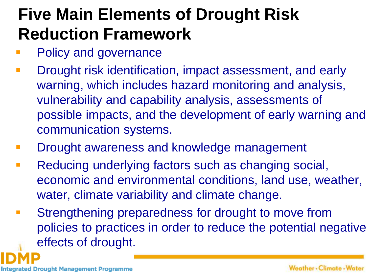# **Five Main Elements of Drought Risk Reduction Framework**

- Policy and governance
- **-** Drought risk identification, impact assessment, and early warning, which includes hazard monitoring and analysis, vulnerability and capability analysis, assessments of possible impacts, and the development of early warning and communication systems.
- **Drought awareness and knowledge management**
- **Reducing underlying factors such as changing social,** economic and environmental conditions, land use, weather, water, climate variability and climate change.
- **EXTERGHERING Strengthening preparedness for drought to move from** policies to practices in order to reduce the potential negative effects of drought.